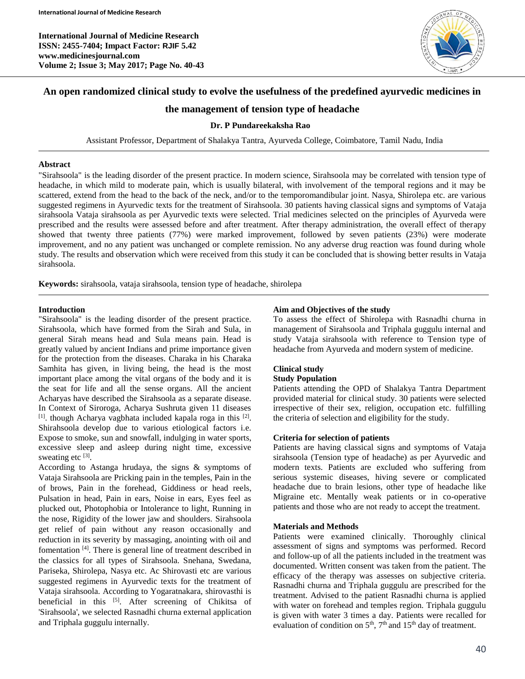**International Journal of Medicine Research ISSN: 2455-7404; Impact Factor: RJIF 5.42 www.medicinesjournal.com Volume 2; Issue 3; May 2017; Page No. 40-43**



# **An open randomized clinical study to evolve the usefulness of the predefined ayurvedic medicines in**

# **the management of tension type of headache**

### **Dr. P Pundareekaksha Rao**

Assistant Professor, Department of Shalakya Tantra, Ayurveda College, Coimbatore, Tamil Nadu, India

#### **Abstract**

"Sirahsoola" is the leading disorder of the present practice. In modern science, Sirahsoola may be correlated with tension type of headache, in which mild to moderate pain, which is usually bilateral, with involvement of the temporal regions and it may be scattered, extend from the head to the back of the neck, and/or to the temporomandibular joint. Nasya, Shirolepa etc. are various suggested regimens in Ayurvedic texts for the treatment of Sirahsoola. 30 patients having classical signs and symptoms of Vataja sirahsoola Vataja sirahsoola as per Ayurvedic texts were selected. Trial medicines selected on the principles of Ayurveda were prescribed and the results were assessed before and after treatment. After therapy administration, the overall effect of therapy showed that twenty three patients (77%) were marked improvement, followed by seven patients (23%) were moderate improvement, and no any patient was unchanged or complete remission. No any adverse drug reaction was found during whole study. The results and observation which were received from this study it can be concluded that is showing better results in Vataja sirahsoola.

**Keywords:** sirahsoola, vataja sirahsoola, tension type of headache, shirolepa

#### **Introduction**

"Sirahsoola" is the leading disorder of the present practice. Sirahsoola, which have formed from the Sirah and Sula, in general Sirah means head and Sula means pain. Head is greatly valued by ancient Indians and prime importance given for the protection from the diseases. Charaka in his Charaka Samhita has given, in living being, the head is the most important place among the vital organs of the body and it is the seat for life and all the sense organs. All the ancient Acharyas have described the Sirahsoola as a separate disease. In Context of Siroroga, Acharya Sushruta given 11 diseases [1]. though Acharya vagbhata included kapala roga in this [2]. Shirahsoola develop due to various etiological factors i.e. Expose to smoke, sun and snowfall, indulging in water sports, excessive sleep and asleep during night time, excessive sweating etc  $[3]$ .

According to Astanga hrudaya, the signs & symptoms of Vataja Sirahsoola are Pricking pain in the temples, Pain in the of brows, Pain in the forehead, Giddiness or head reels, Pulsation in head, Pain in ears, Noise in ears, Eyes feel as plucked out, Photophobia or Intolerance to light, Running in the nose, Rigidity of the lower jaw and shoulders. Sirahsoola get relief of pain without any reason occasionally and reduction in its severity by massaging, anointing with oil and fomentation<sup>[4]</sup>. There is general line of treatment described in the classics for all types of Sirahsoola. Snehana, Swedana, Pariseka, Shirolepa, Nasya etc. Ac Shirovasti etc are various suggested regimens in Ayurvedic texts for the treatment of Vataja sirahsoola. According to Yogaratnakara, shirovasthi is beneficial in this [5]. After screening of Chikitsa of 'Sirahsoola', we selected Rasnadhi churna external application and Triphala guggulu internally.

### **Aim and Objectives of the study**

To assess the effect of Shirolepa with Rasnadhi churna in management of Sirahsoola and Triphala guggulu internal and study Vataja sirahsoola with reference to Tension type of headache from Ayurveda and modern system of medicine.

# **Clinical study**

### **Study Population**

Patients attending the OPD of Shalakya Tantra Department provided material for clinical study. 30 patients were selected irrespective of their sex, religion, occupation etc. fulfilling the criteria of selection and eligibility for the study.

### **Criteria for selection of patients**

Patients are having classical signs and symptoms of Vataja sirahsoola (Tension type of headache) as per Ayurvedic and modern texts. Patients are excluded who suffering from serious systemic diseases, hiving severe or complicated headache due to brain lesions, other type of headache like Migraine etc. Mentally weak patients or in co-operative patients and those who are not ready to accept the treatment.

#### **Materials and Methods**

Patients were examined clinically. Thoroughly clinical assessment of signs and symptoms was performed. Record and follow-up of all the patients included in the treatment was documented. Written consent was taken from the patient. The efficacy of the therapy was assesses on subjective criteria. Rasnadhi churna and Triphala guggulu are prescribed for the treatment. Advised to the patient Rasnadhi churna is applied with water on forehead and temples region. Triphala guggulu is given with water 3 times a day. Patients were recalled for evaluation of condition on  $5<sup>th</sup>$ ,  $7<sup>th</sup>$  and  $15<sup>th</sup>$  day of treatment.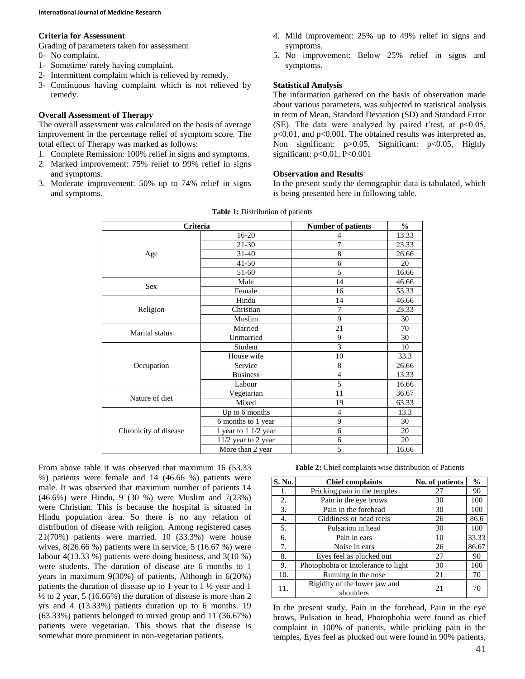#### **Criteria for Assessment**

Grading of parameters taken for assessment

- 0- No complaint.
- 1- Sometime/ rarely having complaint.
- 2- Intermittent complaint which is relieved by remedy.
- 3- Continuous having complaint which is not relieved by remedy.

### **Overall Assessment of Therapy**

The overall assessment was calculated on the basis of average improvement in the percentage relief of symptom score. The total effect of Therapy was marked as follows:

- 1. Complete Remission: 100% relief in signs and symptoms.
- 2. Marked improvement: 75% relief to 99% relief in signs and symptoms.
- 3. Moderate improvement: 50% up to 74% relief in signs and symptoms.
- 4. Mild improvement: 25% up to 49% relief in signs and symptoms.
- 5. No improvement: Below 25% relief in signs and symptoms.

# **Statistical Analysis**

The information gathered on the basis of observation made about various parameters, was subjected to statistical analysis in term of Mean, Standard Deviation (SD) and Standard Error (SE). The data were analyzed by paired t'test, at  $p<0.05$ , p<0.01, and p<0.001. The obtained results was interpreted as, Non significant: p>0.05, Significant: p<0.05, Highly significant: p<0.01, P<0.001

# **Observation and Results**

In the present study the demographic data is tabulated, which is being presented here in following table.

| Criteria              |                       | <b>Number of patients</b> | $\frac{0}{0}$ |
|-----------------------|-----------------------|---------------------------|---------------|
| 16-20                 |                       | 4                         | 13.33         |
|                       | 21-30                 | 7                         | 23.33         |
| Age                   | $31 - 40$             | $\,$ 8 $\,$               | 26.66         |
|                       | $41 - 50$             | 6                         | 20            |
|                       | 51-60                 | 5                         | 16.66         |
| <b>Sex</b>            | Male                  | 14                        | 46.66         |
|                       | Female                | 16                        | 53.33         |
|                       | Hindu                 | 14                        | 46.66         |
| Religion              | Christian             | 7                         | 23.33         |
|                       | Muslim                | 9                         | 30            |
| <b>Marital</b> status | Married               | 21                        | 70            |
|                       | Unmarried             | 9                         | 30            |
|                       | Student               | 3                         | 10            |
|                       | House wife            | 10                        | 33.3          |
| Occupation            | Service               | 8                         | 26.66         |
|                       | <b>Business</b>       | $\overline{4}$            | 13.33         |
|                       | Labour                | 5                         | 16.66         |
| Nature of diet        | Vegetarian            | 11                        | 36.67         |
|                       | Mixed                 | 19                        | 63.33         |
|                       | Up to 6 months        | $\overline{4}$            | 13.3          |
|                       | 6 months to 1 year    | 9                         | 30            |
| Chronicity of disease | 1 year to 1 1/2 year  | 6                         | 20            |
|                       | $11/2$ year to 2 year | 6                         | 20            |
|                       | More than 2 year      | 5                         | 16.66         |

|  | <b>Table 1:</b> Distribution of patients |  |
|--|------------------------------------------|--|
|--|------------------------------------------|--|

From above table it was observed that maximum 16 (53.33 %) patients were female and 14 (46.66 %) patients were male. It was observed that maximum number of patients 14 (46.6%) were Hindu, 9 (30 %) were Muslim and 7(23%) were Christian. This is because the hospital is situated in Hindu population area. So there is no any relation of distribution of disease with religion. Among registered cases 21(70%) patients were married. 10 (33.3%) were house wives, 8(26.66 %) patients were in service, 5 (16.67 %) were labour 4(13.33 %) patients were doing business, and 3(10 %) were students. The duration of disease are 6 months to 1 years in maximum 9(30%) of patients, Although in 6(20%) patients the duration of disease up to 1 year to  $1 \frac{1}{2}$  year and 1  $\frac{1}{2}$  to 2 year, 5 (16.66%) the duration of disease is more than 2 yrs and 4 (13.33%) patients duration up to 6 months. 19 (63.33%) patients belonged to mixed group and 11 (36.67%) patients were vegetarian. This shows that the disease is somewhat more prominent in non-vegetarian patients.

#### **Table 2:** Chief complaints wise distribution of Patients

| S. No. | <b>Chief complaints</b>                    | No. of patients | $\frac{0}{0}$ |
|--------|--------------------------------------------|-----------------|---------------|
| 1.     | Pricking pain in the temples               | 27              | 90            |
| 2.     | Pain in the eye brows                      | 30              | 100           |
| 3.     | Pain in the forehead                       | 30              | 100           |
| 4.     | Giddiness or head reels                    | 26              | 86.6          |
| 5.     | Pulsation in head                          | 30              | 100           |
| 6.     | Pain in ears                               | 10              | 33.33         |
| 7.     | Noise in ears                              | 26              | 86.67         |
| 8.     | Eyes feel as plucked out                   | 27              | 90            |
| 9.     | Photophobia or Intolerance to light        | 30              | 100           |
| 10.    | Running in the nose                        | 21              | 70            |
| 11.    | Rigidity of the lower jaw and<br>shoulders | 21              | 70            |

In the present study, Pain in the forehead, Pain in the eye brows, Pulsation in head, Photophobia were found as chief complaint in 100% of patients, while pricking pain in the temples, Eyes feel as plucked out were found in 90% patients,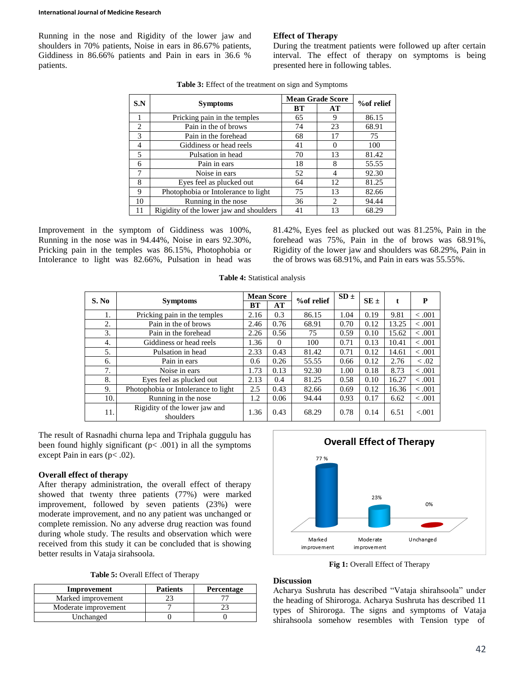#### **International Journal of Medicine Research**

Running in the nose and Rigidity of the lower jaw and shoulders in 70% patients, Noise in ears in 86.67% patients, Giddiness in 86.66% patients and Pain in ears in 36.6 % patients.

# **Effect of Therapy**

During the treatment patients were followed up after certain interval. The effect of therapy on symptoms is being presented here in following tables.

| S.N                         |                                         | <b>Mean Grade Score</b> | %of relief |       |
|-----------------------------|-----------------------------------------|-------------------------|------------|-------|
|                             | <b>Symptoms</b>                         | <b>BT</b>               | AT         |       |
|                             | Pricking pain in the temples            | 65                      | 9          | 86.15 |
| $\mathcal{D}_{\mathcal{L}}$ | Pain in the of brows                    | 74                      | 23         | 68.91 |
| 3                           | Pain in the forehead                    | 68                      | 17         | 75    |
| 4                           | Giddiness or head reels                 | 41                      |            | 100   |
| 5                           | Pulsation in head                       | 70                      | 13         | 81.42 |
| 6                           | Pain in ears                            | 18                      | 8          | 55.55 |
| 7                           | Noise in ears                           | 52                      |            | 92.30 |
| 8                           | Eyes feel as plucked out                | 64                      | 12         | 81.25 |
| 9                           | Photophobia or Intolerance to light     | 75                      | 13         | 82.66 |
| 10                          | Running in the nose                     | 36                      | 2          | 94.44 |
|                             | Rigidity of the lower jaw and shoulders | 41                      | 13         | 68.29 |

**Table 3:** Effect of the treatment on sign and Symptoms

Improvement in the symptom of Giddiness was 100%, Running in the nose was in 94.44%, Noise in ears 92.30%, Pricking pain in the temples was 86.15%, Photophobia or Intolerance to light was 82.66%, Pulsation in head was 81.42%, Eyes feel as plucked out was 81.25%, Pain in the forehead was 75%, Pain in the of brows was 68.91%, Rigidity of the lower jaw and shoulders was 68.29%, Pain in the of brows was 68.91%, and Pain in ears was 55.55%.

| <b>Table 4:</b> Statistical analysis |  |
|--------------------------------------|--|
|--------------------------------------|--|

| S. No |                                            |           | <b>Mean Score</b> |            | $SD \pm$ |          |       | P       |
|-------|--------------------------------------------|-----------|-------------------|------------|----------|----------|-------|---------|
|       | <b>Symptoms</b>                            | <b>BT</b> | AT                | %of relief |          | $SE \pm$ | t     |         |
| 1.    | Pricking pain in the temples               | 2.16      | 0.3               | 86.15      | 1.04     | 0.19     | 9.81  | $-.001$ |
| 2.    | Pain in the of brows                       | 2.46      | 0.76              | 68.91      | 0.70     | 0.12     | 13.25 | $-.001$ |
| 3.    | Pain in the forehead                       | 2.26      | 0.56              | 75         | 0.59     | 0.10     | 15.62 | $-.001$ |
| 4.    | Giddiness or head reels                    | 1.36      | $\Omega$          | 100        | 0.71     | 0.13     | 10.41 | $-.001$ |
| 5.    | Pulsation in head                          | 2.33      | 0.43              | 81.42      | 0.71     | 0.12     | 14.61 | $-.001$ |
| 6.    | Pain in ears                               | 0.6       | 0.26              | 55.55      | 0.66     | 0.12     | 2.76  | < 0.02  |
| 7.    | Noise in ears                              | 1.73      | 0.13              | 92.30      | 1.00     | 0.18     | 8.73  | $-.001$ |
| 8.    | Eyes feel as plucked out                   | 2.13      | 0.4               | 81.25      | 0.58     | 0.10     | 16.27 | $-.001$ |
| 9.    | Photophobia or Intolerance to light        | 2.5       | 0.43              | 82.66      | 0.69     | 0.12     | 16.36 | $-.001$ |
| 10.   | Running in the nose                        | 1.2       | 0.06              | 94.44      | 0.93     | 0.17     | 6.62  | $-.001$ |
| 11.   | Rigidity of the lower jaw and<br>shoulders | 1.36      | 0.43              | 68.29      | 0.78     | 0.14     | 6.51  | < 0.001 |

The result of Rasnadhi churna lepa and Triphala guggulu has been found highly significant  $(p< .001)$  in all the symptoms except Pain in ears  $(p<.02)$ .

#### **Overall effect of therapy**

After therapy administration, the overall effect of therapy showed that twenty three patients (77%) were marked improvement, followed by seven patients (23%) were moderate improvement, and no any patient was unchanged or complete remission. No any adverse drug reaction was found during whole study. The results and observation which were received from this study it can be concluded that is showing better results in Vataja sirahsoola.

| Table 5: Overall Effect of Therapy |  |
|------------------------------------|--|
|------------------------------------|--|

| Improvement          | <b>Patients</b> | Percentage |
|----------------------|-----------------|------------|
| Marked improvement   |                 |            |
| Moderate improvement |                 |            |
| Unchanged            |                 |            |



Fig 1: Overall Effect of Therapy

# **Discussion**

Acharya Sushruta has described "Vataja shirahsoola" under the heading of Shiroroga. Acharya Sushruta has described 11 types of Shiroroga. The signs and symptoms of Vataja shirahsoola somehow resembles with Tension type of